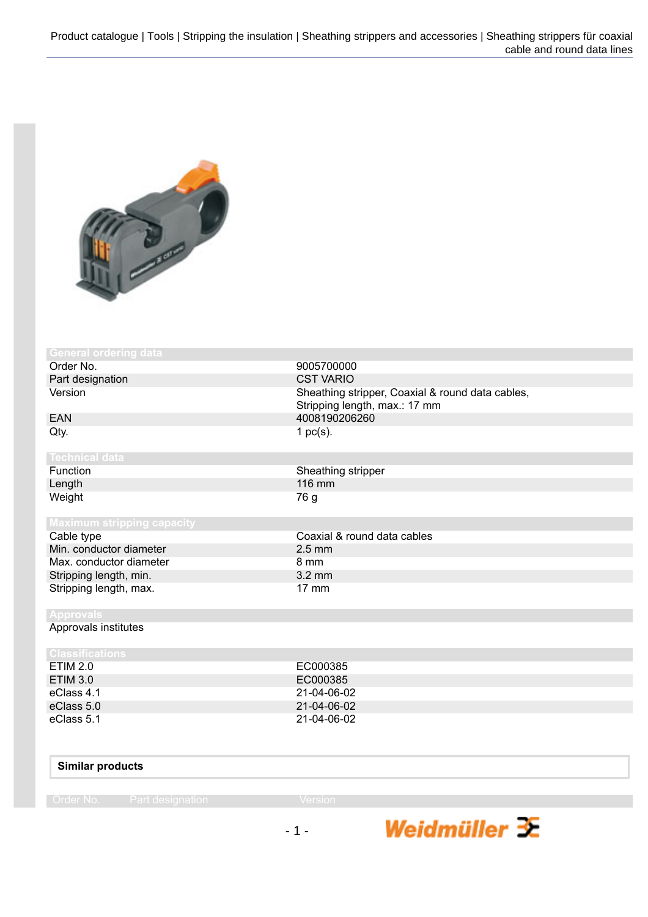

| <b>General ordering data</b>      |                                                                                   |
|-----------------------------------|-----------------------------------------------------------------------------------|
| Order No.                         | 9005700000                                                                        |
| Part designation                  | <b>CST VARIO</b>                                                                  |
| Version                           | Sheathing stripper, Coaxial & round data cables,<br>Stripping length, max.: 17 mm |
|                                   | 4008190206260                                                                     |
| <b>EAN</b>                        |                                                                                   |
| Qty.                              | 1 $pc(s)$ .                                                                       |
| <b>Technical data</b>             |                                                                                   |
| Function                          | Sheathing stripper                                                                |
| Length                            | 116 mm                                                                            |
| Weight                            | 76 g                                                                              |
|                                   |                                                                                   |
| <b>Maximum stripping capacity</b> |                                                                                   |
| Cable type                        | Coaxial & round data cables                                                       |
| Min. conductor diameter           | $2.5 \text{ mm}$                                                                  |
| Max. conductor diameter           | 8 mm                                                                              |
| Stripping length, min.            | $3.2 \text{ mm}$                                                                  |
| Stripping length, max.            | $17 \text{ mm}$                                                                   |
| <b>Approvals</b>                  |                                                                                   |
| Approvals institutes              |                                                                                   |
| <b>Classifications</b>            |                                                                                   |
| <b>ETIM 2.0</b>                   | EC000385                                                                          |
| <b>ETIM 3.0</b>                   | EC000385                                                                          |
| eClass 4.1                        | 21-04-06-02                                                                       |
| eClass 5.0                        | 21-04-06-02                                                                       |
| eClass 5.1                        | 21-04-06-02                                                                       |
|                                   |                                                                                   |

## **Similar products**